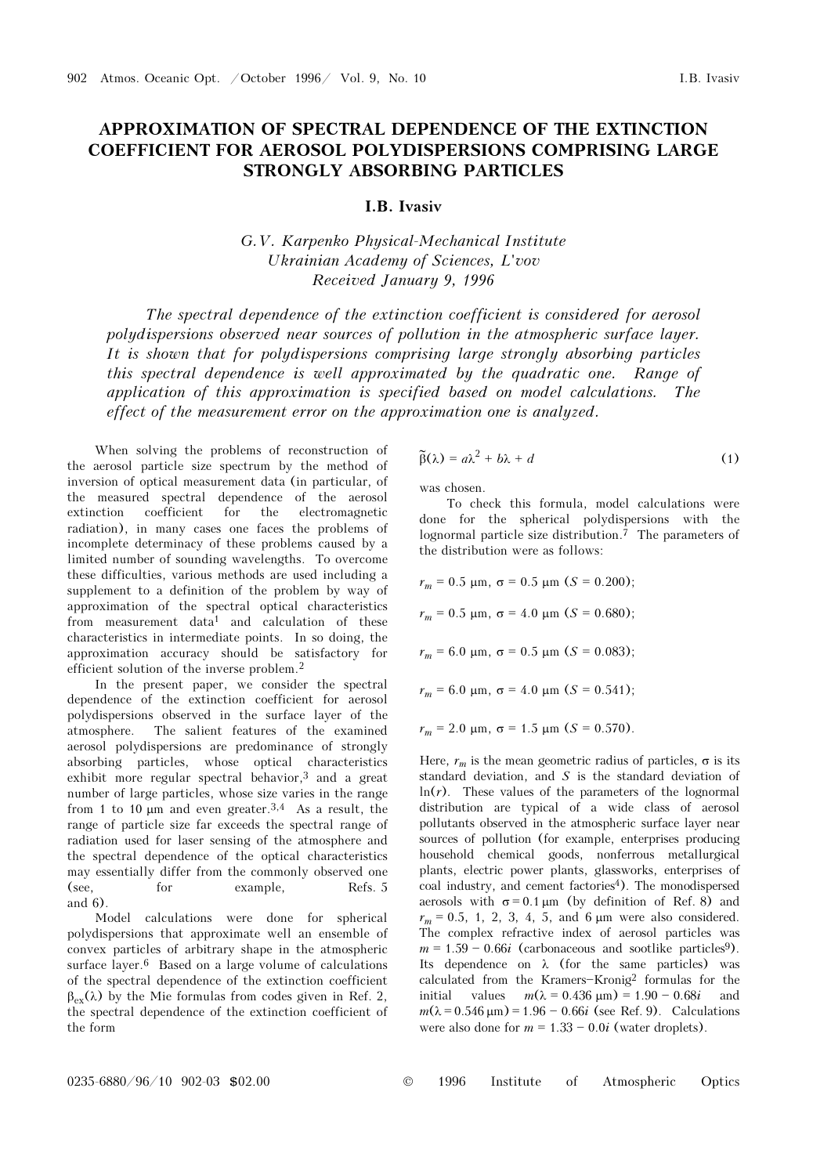## APPROXIMATION OF SPECTRAL DEPENDENCE OF THE EXTINCTION COEFFICIENT FOR AEROSOL POLYDISPERSIONS COMPRISING LARGE STRONGLY ABSORBING PARTICLES

## I.B. Ivasiv

G.V. Karpenko Physical-Mechanical Institute Ukrainian Academy of Sciences, L'vov Received January 9, 1996

The spectral dependence of the extinction coefficient is considered for aerosol polydispersions observed near sources of pollution in the atmospheric surface layer. It is shown that for polydispersions comprising large strongly absorbing particles this spectral dependence is well approximated by the quadratic one. Range of application of this approximation is specified based on model calculations. The effect of the measurement error on the approximation one is analyzed.

When solving the problems of reconstruction of the aerosol particle size spectrum by the method of inversion of optical measurement data (in particular, of the measured spectral dependence of the aerosol extinction coefficient for the electromagnetic radiation), in many cases one faces the problems of incomplete determinacy of these problems caused by a limited number of sounding wavelengths. To overcome these difficulties, various methods are used including a supplement to a definition of the problem by way of approximation of the spectral optical characteristics from measurement data<sup>1</sup> and calculation of these characteristics in intermediate points. In so doing, the approximation accuracy should be satisfactory for efficient solution of the inverse problem.<sup>2</sup>

In the present paper, we consider the spectral dependence of the extinction coefficient for aerosol polydispersions observed in the surface layer of the atmosphere. The salient features of the examined aerosol polydispersions are predominance of strongly absorbing particles, whose optical characteristics exhibit more regular spectral behavior,3 and a great number of large particles, whose size varies in the range from 1 to 10  $\mu$ m and even greater.<sup>3,4</sup> As a result, the range of particle size far exceeds the spectral range of radiation used for laser sensing of the atmosphere and the spectral dependence of the optical characteristics may essentially differ from the commonly observed one (see, for example, Refs. 5 and 6).

Model calculations were done for spherical polydispersions that approximate well an ensemble of convex particles of arbitrary shape in the atmospheric surface layer.6 Based on a large volume of calculations of the spectral dependence of the extinction coefficient  $\beta_{\rm ex}(\lambda)$  by the Mie formulas from codes given in Ref. 2, the spectral dependence of the extinction coefficient of the form

$$
\tilde{\beta}(\lambda) = a\lambda^2 + b\lambda + d \tag{1}
$$

was chosen.

To check this formula, model calculations were done for the spherical polydispersions with the lognormal particle size distribution.7 The parameters of the distribution were as follows:

$$
r_m = 0.5 \text{ }\mu\text{m, } \sigma = 0.5 \text{ }\mu\text{m (}S = 0.200);
$$
\n
$$
r_m = 0.5 \text{ }\mu\text{m, } \sigma = 4.0 \text{ }\mu\text{m (}S = 0.680);
$$
\n
$$
r_m = 6.0 \text{ }\mu\text{m, } \sigma = 0.5 \text{ }\mu\text{m (}S = 0.083);
$$
\n
$$
r_m = 6.0 \text{ }\mu\text{m, } \sigma = 4.0 \text{ }\mu\text{m (}S = 0.541);
$$
\n
$$
r_m = 2.0 \text{ }\mu\text{m, } \sigma = 1.5 \text{ }\mu\text{m (}S = 0.570).
$$

Here,  $r_m$  is the mean geometric radius of particles,  $\sigma$  is its standard deviation, and  $S$  is the standard deviation of  $ln(r)$ . These values of the parameters of the lognormal distribution are typical of a wide class of aerosol pollutants observed in the atmospheric surface layer near sources of pollution (for example, enterprises producing household chemical goods, nonferrous metallurgical plants, electric power plants, glassworks, enterprises of coal industry, and cement factories<sup>4</sup>). The monodispersed aerosols with  $\sigma = 0.1 \,\mu\text{m}$  (by definition of Ref. 8) and  $r_m = 0.5, 1, 2, 3, 4, 5,$  and 6  $\mu$ m were also considered. The complex refractive index of aerosol particles was  $m = 1.59 - 0.66i$  (carbonaceous and sootlike particles<sup>9</sup>). Its dependence on  $\lambda$  (for the same particles) was calculated from the Kramers-Kronig<sup>2</sup> formulas for the initial values  $m(\lambda = 0.436 \text{ μm}) = 1.90 - 0.68i$  and  $m(\lambda = 0.546 \,\mu\text{m}) = 1.96 - 0.66i$  (see Ref. 9). Calculations were also done for  $m = 1.33 - 0.0i$  (water droplets).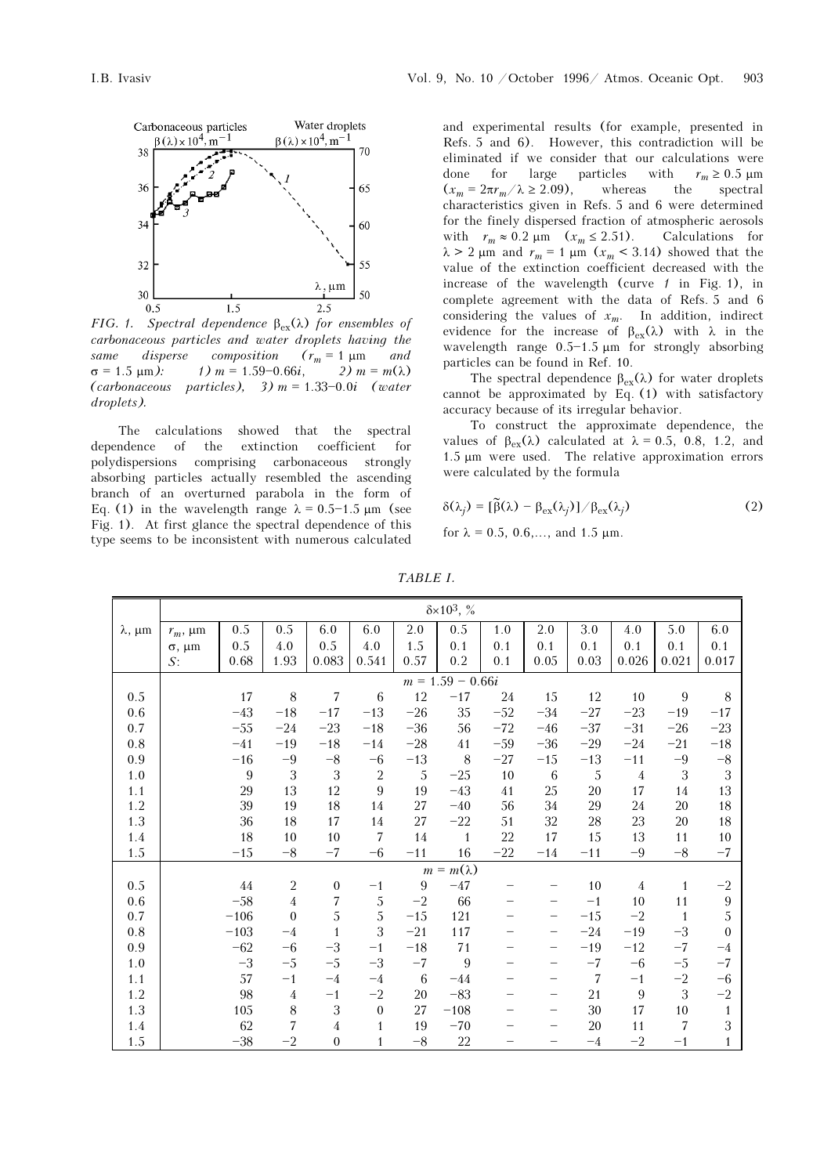

FIG. 1. Spectral dependence  $\beta_{ex}(\lambda)$  for ensembles of carbonaceous particles and water droplets having the same disperse composition  $(r_m = 1 \mu m$  and  $\sigma = 1.5 \text{ }\mu\text{m}$ ):  $1) m = 1.59 - 0.66i, 2) m = m(\lambda)$ (carbonaceous particles),  $3)$  m = 1.33-0.0i (water droplets).

The calculations showed that the spectral dependence of the extinction coefficient for polydispersions comprising carbonaceous strongly absorbing particles actually resembled the ascending branch of an overturned parabola in the form of Eq. (1) in the wavelength range  $\lambda = 0.5 - 1.5 \mu m$  (see Fig. 1). At first glance the spectral dependence of this type seems to be inconsistent with numerous calculated

and experimental results (for example, presented in Refs. 5 and 6). However, this contradiction will be eliminated if we consider that our calculations were done for large particles with  $r_m \ge 0.5 \text{ }\mu\text{m}$ <br>  $(x_m = 2\pi r_m / \lambda \ge 2.09)$ , whereas the spectral  $(x_m = 2\pi r_m / \lambda \ge 2.09),$ characteristics given in Refs. 5 and 6 were determined for the finely dispersed fraction of atmospheric aerosols with  $r_m \approx 0.2 \text{ }\mu\text{m}$   $(x_m \leq 2.51)$ . Calculations for  $\lambda > 2$  μm and  $r_m = 1$  μm  $(x_m < 3.14)$  showed that the value of the extinction coefficient decreased with the increase of the wavelength (curve  $\ell$  in Fig. 1), in complete agreement with the data of Refs. 5 and 6 considering the values of  $x_m$ . In addition, indirect evidence for the increase of  $\beta_{ex}(\lambda)$  with  $\lambda$  in the wavelength range  $0.5-1.5 \mu m$  for strongly absorbing particles can be found in Ref. 10.

The spectral dependence  $\beta_{ex}(\lambda)$  for water droplets cannot be approximated by Eq. (1) with satisfactory accuracy because of its irregular behavior.

To construct the approximate dependence, the values of  $\beta_{ex}(\lambda)$  calculated at  $\lambda = 0.5$ , 0.8, 1.2, and 1.5 μm were used. The relative approximation errors were calculated by the formula

$$
\delta(\lambda_j) = [\tilde{\beta}(\lambda) - \beta_{\text{ex}}(\lambda_j)] / \beta_{\text{ex}}(\lambda_j)
$$
 (2)

for 
$$
\lambda = 0.5, 0.6, \ldots
$$
, and 1.5  $\mu$ m.

|                     | $\delta \times 10^3$ , % |        |                |                |                  |             |              |       |       |       |                |                |                  |
|---------------------|--------------------------|--------|----------------|----------------|------------------|-------------|--------------|-------|-------|-------|----------------|----------------|------------------|
| $\lambda$ , $\mu$ m | $r_m$ , $\mu$ m          | 0.5    | 0.5            | 6.0            | 6.0              | 2.0         | 0.5          | 1.0   | 2.0   | 3.0   | 4.0            | 5.0            | 6.0              |
|                     | $\sigma$ , $\mu$ m       | 0.5    | 4.0            | 0.5            | 4.0              | $1.5\,$     | 0.1          | 0.1   | 0.1   | 0.1   | 0.1            | 0.1            | 0.1              |
|                     | $S$ :                    | 0.68   | 1.93           | 0.083          | 0.541            | 0.57        | 0.2          | 0.1   | 0.05  | 0.03  | 0.026          | 0.021          | 0.017            |
|                     | $m = 1.59 - 0.66i$       |        |                |                |                  |             |              |       |       |       |                |                |                  |
| 0.5                 |                          | 17     | 8              | 7              | 6                | 12          | $-17$        | 24    | 15    | 12    | 10             | 9              | $\,8\,$          |
| 0.6                 |                          | $-43$  | $-18$          | $-17$          | $-13$            | $-26$       | 35           | $-52$ | $-34$ | $-27$ | $-23$          | $-19$          | $-17$            |
| 0.7                 |                          | $-55$  | $-24$          | $-23$          | $-18$            | $-36$       | 56           | $-72$ | $-46$ | $-37$ | $-31$          | $-26$          | $-23$            |
| 0.8                 |                          | $-41$  | $-19$          | $-18$          | $-14$            | $-28$       | 41           | $-59$ | $-36$ | $-29$ | $-24$          | $-21$          | $-18$            |
| 0.9                 |                          | $-16$  | $-9$           | $-8\,$         | $-6$             | $-13$       | 8            | $-27$ | $-15$ | $-13$ | $-11$          | $-9$           | $-\bf 8$         |
| 1.0                 |                          | 9      | 3              | 3              | $\sqrt{2}$       | 5           | $-25$        | 10    | 6     | 5     | $\overline{4}$ | $\sqrt{3}$     | 3                |
| 1.1                 |                          | 29     | 13             | 12             | 9                | 19          | $-43$        | 41    | 25    | 20    | 17             | 14             | 13               |
| 1.2                 |                          | 39     | 19             | 18             | 14               | 27          | $-40$        | 56    | 34    | 29    | 24             | 20             | 18               |
| 1.3                 |                          | 36     | 18             | 17             | 14               | $27\,$      | $-22$        | 51    | 32    | 28    | 23             | 20             | 18               |
| 1.4                 |                          | 18     | 10             | $10\,$         | $\overline{7}$   | 14          | $\mathbf{1}$ | 22    | 17    | 15    | 13             | 11             | 10               |
| 1.5                 |                          | $-15$  | $-8$           | $-7$           | $-6$             | $-11$       | 16           | $-22$ | $-14$ | $-11$ | $-9$           | $^{\rm -8}$    | $-7$             |
|                     | $m = m(\lambda)$         |        |                |                |                  |             |              |       |       |       |                |                |                  |
| 0.5                 |                          | 44     | $\sqrt{2}$     | $\overline{0}$ | $-1$             | $9\,$       | $-47$        |       |       | 10    | $\overline{4}$ | $\mathbf{1}$   | $-2$             |
| 0.6                 |                          | $-58$  | $\overline{4}$ | 7              | 5                | $-2$        | 66           |       |       | $-1$  | 10             | 11             | 9                |
| 0.7                 |                          | $-106$ | $\theta$       | $\sqrt{5}$     | 5                | $-15$       | 121          |       |       | $-15$ | $-2$           | $\overline{1}$ | 5                |
| 0.8                 |                          | $-103$ | $-4$           | $\mathbf{1}$   | 3                | $-21$       | 117          |       |       | $-24$ | $-19$          | $-3$           | $\boldsymbol{0}$ |
| 0.9                 |                          | $-62$  | $-6$           | $-3$           | $-1$             | $-18$       | $7\sqrt{1}$  |       |       | $-19$ | $-12$          | $-7$           | $-4$             |
| $1.0\,$             |                          | $-3$   | $-5$           | $-5$           | $-3$             | $-7$        | 9            |       |       | $-7$  | $-6$           | $-5$           | $-7$             |
| 1.1                 |                          | 57     | $-1$           | $-4$           | $-4$             | 6           | $-44$        |       |       | 7     | $-1$           | $-2$           | $-6$             |
| 1.2                 |                          | 98     | $\overline{4}$ | $-1$           | $-2$             | 20          | $-83$        |       |       | 21    | 9              | 3              | $-2$             |
| 1.3                 |                          | 105    | $\,$ 8 $\,$    | 3              | $\boldsymbol{0}$ | 27          | $-108$       |       |       | 30    | 17             | $10\,$         | $\mathbf{1}$     |
| 1.4                 |                          | 62     | $\overline{7}$ | 4              | $\mathbf{1}$     | 19          | $-70$        |       |       | 20    | 11             | 7              | 3                |
| $1.5\,$             |                          | $-38$  | $-2$           | $\mathbf{0}$   | $\mathbf{1}$     | $^{\rm -8}$ | 22           |       |       | $-4$  | $-2$           | $-1$           | $\mathbf{1}$     |

TABLE I.